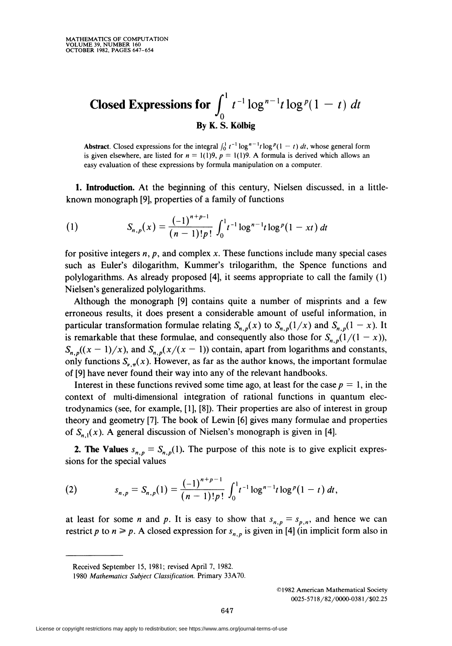## Closed Expressions for  $\int_0^1 t^{-1} \log^{n-1} t \log^p(1-t) dt$ By K. S. Kolbig

Abstract. Closed expressions for the integral  $\int_0^1 t^{-1} \log^{n-1} t \log^p(1-t) dt$ , whose general form is given elsewhere, are listed for  $n = 1(1)9$ ,  $p = 1(1)9$ . A formula is derived which allows an easy evaluation of these expressions by formula manipulation on a computer.

1. Introduction. At the beginning of this century, Nielsen discussed, in a littleknown monograph [9], properties of a family of functions

(1) 
$$
S_{n,p}(x) = \frac{(-1)^{n+p-1}}{(n-1)!p!} \int_0^1 t^{-1} \log^{n-1} t \log^p(1 - xt) dt
$$

for positive integers  $n$ ,  $p$ , and complex  $x$ . These functions include many special cases such as Euler's dilogarithm, Kummer's trilogarithm, the Spence functions and polylogarithms. As already proposed [4], it seems appropriate to call the family (1) Nielsen's generalized polylogarithms.

Although the monograph [9] contains quite a number of misprints and a few erroneous results, it does present a considerable amount of useful information, in particular transformation formulae relating  $S_{n,p}(x)$  to  $S_{n,p}(1/x)$  and  $S_{n,p}(1-x)$ . It is remarkable that these formulae, and consequently also those for  $S_{n,p}(1/(1-x))$ ,  $S_{n,p}((x-1)/x)$ , and  $S_{n,p}(x/(x-1))$  contain, apart from logarithms and constants, only functions  $S_{\nu,\pi}(x)$ . However, as far as the author knows, the important formulae of [9] have never found their way into any of the relevant handbooks.

Interest in these functions revived some time ago, at least for the case  $p = 1$ , in the context of multi-dimensional integration of rational functions in quantum electrodynamics (see, for example, [1], [8]). Their properties are also of interest in group theory and geometry [7]. The book of Lewin [6] gives many formulae and properties of  $S_{n,1}(x)$ . A general discussion of Nielsen's monograph is given in [4].

**2. The Values**  $s_{n,p} = S_{n,p}(1)$ . The purpose of this note is to give explicit expressions for the special values

(2) 
$$
s_{n,p} = S_{n,p}(1) = \frac{(-1)^{n+p-1}}{(n-1)!p!} \int_0^1 t^{-1} \log^{n-1} t \log^p(1-t) dt,
$$

at least for some *n* and *p*. It is easy to show that  $s_{n,p} = s_{p,n}$ , and hence we can restrict p to  $n \geq p$ . A closed expression for  $s_{n,p}$  is given in [4] (in implicit form also in

Received September 15, 1981; revised April 7, 1982.

<sup>1980</sup> Mathematics Subject Classification. Primary 33A70.

<sup>©1982</sup> American Mathematical Society 0025-5718/82/0000-0381 /S02.25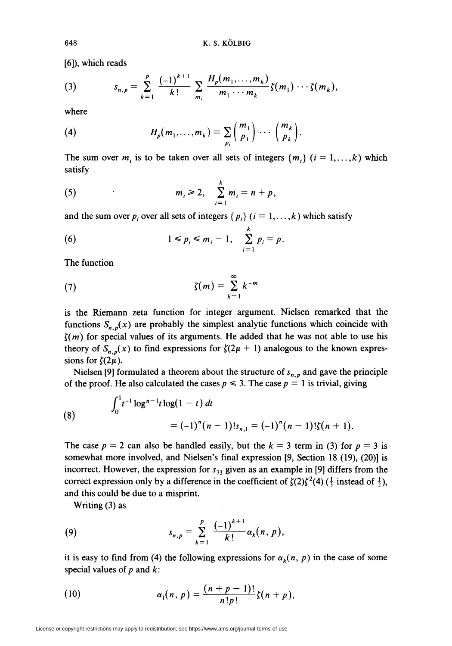[6]), which reads

(3) 
$$
s_{n,p} = \sum_{k=1}^p \frac{(-1)^{k+1}}{k!} \sum_{m_i} \frac{H_p(m_1,\ldots,m_k)}{m_1\cdots m_k} \zeta(m_1)\cdots\zeta(m_k),
$$

where

(4) 
$$
H_p(m_1,\ldots,m_k)=\sum_{p_i}\binom{m_1}{p_1}\cdots\binom{m_k}{p_k}.
$$

The sum over  $m_i$  is to be taken over all sets of integers  $\{m_i\}$   $(i = 1, \ldots, k)$  which satisfy

(5) 
$$
m_i \geq 2, \quad \sum_{i=1}^k m_i = n + p,
$$

and the sum over  $p_i$  over all sets of integers { $p_i$ } ( $i = 1, ..., k$ ) which satisfy

$$
(6) \qquad \qquad 1 \leq p_i \leq m_i - 1, \quad \sum_{i=1}^k p_i = p.
$$

The function

(7) 
$$
\zeta(m) = \sum_{k=1}^{\infty} k^{-m}
$$

is the Riemann zeta function for integer argument. Nielsen remarked that the functions  $S_{n,p}(x)$  are probably the simplest analytic functions which coincide with  $\zeta(m)$  for special values of its arguments. He added that he was not able to use his theory of  $S_{n,p}(x)$  to find expressions for  $\zeta(2\mu + 1)$  analogous to the known expressions for  $\zeta(2\mu)$ .

Nielsen [9] formulated a theorem about the structure of  $s_{n,p}$  and gave the principle of the proof. He also calculated the cases  $p \le 3$ . The case  $p = 1$  is trivial, giving

(8) 
$$
\int_0^1 t^{-1} \log^{n-1} t \log(1-t) dt = (-1)^n (n-1)! s_{n,1} = (-1)^n (n-1)! \zeta(n+1).
$$

The case  $p = 2$  can also be handled easily, but the  $k = 3$  term in (3) for  $p = 3$  is somewhat more involved, and Nielsen's final expression [9, Section 18 (19), (20)] is incorrect. However, the expression for  $s_{73}$  given as an example in [9] differs from the correct expression only by a difference in the coefficient of  $\zeta(2)\zeta^2(4)$  ( $\frac{1}{3}$  instead of  $\frac{1}{2}$ ), and this could be due to a misprint.

Writing (3) as

(9) 
$$
s_{n,p} = \sum_{k=1}^{p} \frac{(-1)^{k+1}}{k!} \alpha_k(n, p),
$$

it is easy to find from (4) the following expressions for  $\alpha_k(n, p)$  in the case of some special values of  $p$  and  $k$ :

(10) 
$$
\alpha_1(n, p) = \frac{(n+p-1)!}{n!p!} \zeta(n+p),
$$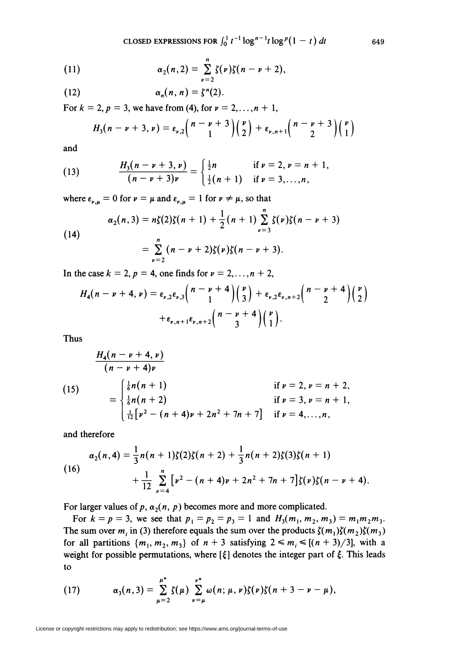CLOSED EXPRESSIONS FOR  $\int_0^1 t^{-1} \log^{n-1} t \log^p(1-t) dt$  649

(11) 
$$
\alpha_2(n,2) = \sum_{\nu=2}^n \zeta(\nu)\zeta(n-\nu+2),
$$

(12) 
$$
\alpha_n(n,n) = \zeta^n(2).
$$

For  $k = 2$ ,  $p = 3$ , we have from (4), for  $\nu = 2,...,n + 1$ ,

$$
H_3(n-\nu+3,\nu)=\varepsilon_{\nu,2}\left(\frac{n-\nu+3}{1}\right)\left(\frac{\nu}{2}\right)+\varepsilon_{\nu,n+1}\left(\frac{n-\nu+3}{2}\right)\left(\frac{\nu}{1}\right)
$$

and

(13) 
$$
\frac{H_3(n-\nu+3,\nu)}{(n-\nu+3)\nu} = \begin{cases} \frac{1}{2}n & \text{if } \nu = 2, \nu = n+1, \\ \frac{1}{2}(n+1) & \text{if } \nu = 3,\ldots,n, \end{cases}
$$

where  $\varepsilon_{\nu,\mu} = 0$  for  $\nu = \mu$  and  $\varepsilon_{\nu,\mu} = 1$  for  $\nu \neq \mu$ , so that

(14)  

$$
\alpha_2(n,3) = n\zeta(2)\zeta(n+1) + \frac{1}{2}(n+1)\sum_{\nu=3}^{n}\zeta(\nu)\zeta(n-\nu+3)
$$

$$
= \sum_{\nu=2}^{n}(n-\nu+2)\zeta(\nu)\zeta(n-\nu+3).
$$

In the case  $k = 2$ ,  $p = 4$ , one finds for  $\nu = 2, \ldots, n + 2$ ,

$$
H_4(n-\nu+4,\nu)=\varepsilon_{\nu,2}\varepsilon_{\nu,3}\binom{n-\nu+4}{1}\binom{\nu}{3}+\varepsilon_{\nu,2}\varepsilon_{\nu,n+2}\binom{n-\nu+4}{2}\binom{\nu}{2}+\varepsilon_{\nu,n+1}\varepsilon_{\nu,n+2}\binom{n-\nu+4}{3}\binom{\nu}{1}.
$$

Thus

(15)  
\n
$$
\frac{H_4(n-\nu+4,\nu)}{(n-\nu+4)\nu}
$$
\n
$$
= \begin{cases}\n\frac{1}{6}n(n+1) & \text{if } \nu = 2, \nu = n+2, \\
\frac{1}{6}n(n+2) & \text{if } \nu = 3, \nu = n+1, \\
\frac{1}{12}[\nu^2 - (n+4)\nu + 2n^2 + 7n + 7] & \text{if } \nu = 4,...,n,\n\end{cases}
$$

and therefore

(16)  

$$
\alpha_2(n,4) = \frac{1}{3}n(n+1)\zeta(2)\zeta(n+2) + \frac{1}{3}n(n+2)\zeta(3)\zeta(n+1) + \frac{1}{12}\sum_{\nu=4}^{n} \left[\nu^2 - (n+4)\nu + 2n^2 + 7n + 7\right]\zeta(\nu)\zeta(n-\nu+4).
$$

For larger values of p,  $\alpha_2(n, p)$  becomes more and more complicated.

For  $k = p = 3$ , we see that  $p_1 = p_2 = p_3 = 1$  and  $H_3(m_1, m_2, m_3) = m_1 m_2 m_3$ . The sum over  $m_i$  in (3) therefore equals the sum over the products  $\zeta(m_1)\zeta(m_2)\zeta(m_3)$ for all partitions  $\{m_1, m_2, m_3\}$  of  $n + 3$  satisfying  $2 \le m_i \le [(n + 3)/3]$ , with a weight for possible permutations, where  $[\xi]$  denotes the integer part of  $\xi$ . This leads to

(17) 
$$
\alpha_3(n,3) = \sum_{\mu=2}^{\mu^*} \zeta(\mu) \sum_{\nu=\mu}^{\nu^*} \omega(n;\mu,\nu) \zeta(\nu) \zeta(n+3-\nu-\mu),
$$

 $\mathcal{L}$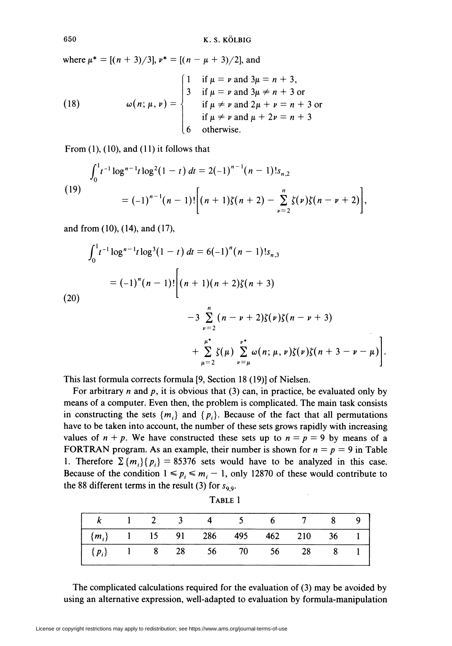where  $\mu^* = [(n + 3)/3]$ ,  $\nu^* = [(n - \mu + 3)/2]$ , and

(18) 
$$
\omega(n; \mu, \nu) = \begin{cases} 1 & \text{if } \mu = \nu \text{ and } 3\mu = n + 3, \\ 3 & \text{if } \mu = \nu \text{ and } 3\mu \neq n + 3 \text{ or} \\ & \text{if } \mu \neq \nu \text{ and } 2\mu + \nu = n + 3 \text{ or} \\ & \text{if } \mu \neq \nu \text{ and } \mu + 2\nu = n + 3 \\ 6 & \text{otherwise.} \end{cases}
$$

From  $(1)$ ,  $(10)$ , and  $(11)$  it follows that

$$
\int_0^1 t^{-1} \log^{n-1} t \log^2 (1-t) \, dt = 2(-1)^{n-1} (n-1)! s_{n,2}
$$
\n
$$
= (-1)^{n-1} (n-1)! \bigg[ (n+1) \zeta(n+2) - \sum_{\nu=2}^n \zeta(\nu) \zeta(n-\nu+2) \bigg],
$$

and from (10), (14), and (17),

$$
\int_0^1 t^{-1} \log^{n-1} t \log^3(1-t) dt = 6(-1)^n (n-1)! s_{n,3}
$$
  
=  $(-1)^n (n-1)! \left[ (n+1)(n+2) \zeta(n+3) - 3 \sum_{\nu=2}^n (n-\nu+2) \zeta(\nu) \zeta(n-\nu+3) + \sum_{\nu=2}^{\mu^*} \zeta(\mu) \sum_{\nu=2}^{\nu^*} \omega(n; \mu, \nu) \zeta(\nu) \zeta(n+3-\nu-\mu) \right]$ 

 $\mu=2$   $\nu=\rho$ 

This last formula corrects formula [9, Section 18 (19)] of Nielsen.

For arbitrary *n* and  $p$ , it is obvious that (3) can, in practice, be evaluated only by means of a computer. Even then, the problem is complicated. The main task consists in constructing the sets  $\{m_i\}$  and  $\{p_i\}$ . Because of the fact that all permutations have to be taken into account, the number of these sets grows rapidly with increasing values of  $n + p$ . We have constructed these sets up to  $n = p = 9$  by means of a FORTRAN program. As an example, their number is shown for  $n = p = 9$  in Table 1. Therefore  $\sum \{m_i\}$   $\{p_i\} = 85376$  sets would have to be analyzed in this case. Because of the condition  $1 \le p_i \le m_i - 1$ , only 12870 of these would contribute to the 88 different terms in the result (3) for  $s_{9.9}$ .

| $\begin{array}{ c ccccccccccc }\hline k&1&2&3&4&5&6&7&8&9\end{array}$ |  |  |  |  |  |
|-----------------------------------------------------------------------|--|--|--|--|--|
|                                                                       |  |  |  |  |  |
|                                                                       |  |  |  |  |  |

Table 1

The complicated calculations required for the evaluation of (3) may be avoided by using an alternative expression, well-adapted to evaluation by formula-manipulation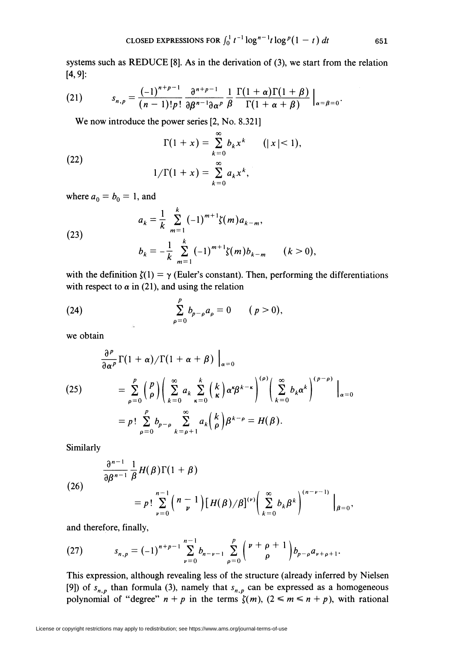systems such as REDUCE [8]. As in the derivation of (3), we start from the relation [4,9]:

(21) 
$$
s_{n,p} = \frac{(-1)^{n+p-1}}{(n-1)!p!} \frac{\partial^{n+p-1}}{\partial \beta^{n-1} \partial \alpha^p} \frac{1}{\beta} \frac{\Gamma(1+\alpha)\Gamma(1+\beta)}{\Gamma(1+\alpha+\beta)} \Big|_{\alpha=\beta=0}.
$$

We now introduce the power series [2, No. 8.321]

(22) 
$$
\Gamma(1+x) = \sum_{k=0}^{\infty} b_k x^k \qquad (|x| < 1),
$$

$$
1/\Gamma(1+x) = \sum_{k=0}^{\infty} a_k x^k,
$$

where  $a_0 = b_0 = 1$ , and

(23)  

$$
a_{k} = \frac{1}{k} \sum_{m=1}^{k} (-1)^{m+1} \zeta(m) a_{k-m},
$$

$$
b_{k} = -\frac{1}{k} \sum_{m=1}^{k} (-1)^{m+1} \zeta(m) b_{k-m} \qquad (k > 0),
$$

with the definition  $\zeta(1) = \gamma$  (Euler's constant). Then, performing the differentiations with respect to  $\alpha$  in (21), and using the relation

(24) 
$$
\sum_{\rho=0}^p b_{p-\rho} a_{\rho} = 0 \qquad (p > 0),
$$

we obtain

$$
\frac{\partial^{\rho}}{\partial \alpha^{\rho}} \Gamma(1+\alpha) / \Gamma(1+\alpha+\beta) \Big|_{\alpha=0}
$$
\n
$$
(25) \qquad = \sum_{\rho=0}^{p} {p \choose \rho} \Big( \sum_{k=0}^{\infty} a_k \sum_{\kappa=0}^{k} {k \choose \kappa} \alpha^{\kappa} \beta^{k-\kappa} \Big)^{(\rho)} \Big( \sum_{k=0}^{\infty} b_k \alpha^k \Big)^{(\rho-\rho)} \Big|_{\alpha=0}
$$
\n
$$
= p! \sum_{\rho=0}^{p} b_{p-\rho} \sum_{k=\rho+1}^{\infty} a_k {k \choose \rho} \beta^{k-\rho} = H(\beta).
$$

Similarly

(26)  

$$
\frac{\partial^{n-1}}{\partial \beta^{n-1}} \frac{1}{\beta} H(\beta) \Gamma(1+\beta)
$$
  

$$
= p! \sum_{\nu=0}^{n-1} {n-1 \choose \nu} [H(\beta)/\beta]^{(\nu)} \left( \sum_{k=0}^{\infty} b_k \beta^k \right)^{(n-\nu-1)} \Big|_{\beta=0},
$$

and therefore, finally,

(27) 
$$
s_{n,p} = (-1)^{n+p-1} \sum_{\nu=0}^{n-1} b_{n-\nu-1} \sum_{\rho=0}^p { \nu+\rho+1 \choose \rho} b_{p-\rho} a_{\nu+\rho+1}.
$$

This expression, although revealing less of the structure (already inferred by Nielsen [9]) of  $s_{n,p}$  than formula (3), namely that  $s_{n,p}$  can be expressed as a homogeneous polynomial of "degree"  $n + p$  in the terms  $\zeta(m)$ ,  $(2 \le m \le n + p)$ , with rational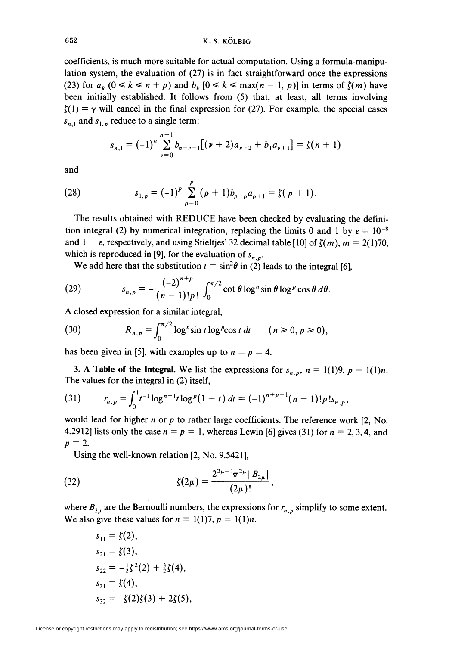coefficients, is much more suitable for actual computation. Using a formula-manipulation system, the evaluation of (27) is in fact straightforward once the expressions (23) for  $a_k$  ( $0 \le k \le n + p$ ) and  $b_k$  [ $0 \le k \le \max(n - 1, p)$ ] in terms of  $\zeta(m)$  have been initially established. It follows from (5) that, at least, all terms involving  $\zeta(1) = \gamma$  will cancel in the final expression for (27). For example, the special cases  $s_{n,1}$  and  $s_{1,n}$  reduce to a single term:

$$
s_{n,1} = (-1)^n \sum_{\nu=0}^{n-1} b_{n-\nu-1} \big[ (\nu+2) a_{\nu+2} + b_1 a_{\nu+1} \big] = \zeta(n+1)
$$

and

(28) 
$$
s_{1,p} = (-1)^p \sum_{\rho=0}^p (\rho+1) b_{p-\rho} a_{\rho+1} = \zeta(p+1).
$$

The results obtained with REDUCE have been checked by evaluating the definition integral (2) by numerical integration, replacing the limits 0 and 1 by  $\varepsilon = 10^{-8}$ and  $1 - \epsilon$ , respectively, and using Stieltjes' 32 decimal table [10] of  $\zeta(m)$ ,  $m = 2(1)70$ , which is reproduced in [9], for the evaluation of  $s_{n,p}$ .

We add here that the substitution  $t = \sin^2 \theta$  in (2) leads to the integral [6],

(29) 
$$
s_{n,p}=-\frac{(-2)^{n+p}}{(n-1)!p!}\int_0^{\pi/2}\cot\theta\log^n\sin\theta\log^p\cos\theta\,d\theta.
$$

A closed expression for a similar integral,

(30) 
$$
R_{n,p} = \int_0^{\pi/2} \log^n \sin t \log^p \cos t \, dt \qquad (n \ge 0, p \ge 0),
$$

has been given in [5], with examples up to  $n = p = 4$ .

3. A Table of the Integral. We list the expressions for  $s_{n,p}$ ,  $n = 1(1)9$ ,  $p = 1(1)n$ . The values for the integral in (2) itself,

(31) 
$$
r_{n,p} = \int_0^1 t^{-1} \log^{n-1} t \log^p (1-t) dt = (-1)^{n+p-1} (n-1)! p! s_{n,p}
$$

would lead for higher  $n$  or  $p$  to rather large coefficients. The reference work [2, No. 4.2912] lists only the case  $n = p = 1$ , whereas Lewin [6] gives (31) for  $n = 2, 3, 4$ , and  $p = 2.$ 

Using the well-known relation [2, No. 9.5421],

(32) 
$$
\zeta(2\mu) = \frac{2^{2\mu-1}\pi^{2\mu}|B_{2\mu}|}{(2\mu)!},
$$

where  $B_{2\mu}$  are the Bernoulli numbers, the expressions for  $r_{n,p}$  simplify to some extent. We also give these values for  $n = 1(1)7, p = 1(1)n$ .

$$
s_{11} = \zeta(2),
$$
  
\n
$$
s_{21} = \zeta(3),
$$
  
\n
$$
s_{22} = -\frac{1}{2}\zeta^2(2) + \frac{3}{2}\zeta(4),
$$
  
\n
$$
s_{31} = \zeta(4),
$$
  
\n
$$
s_{32} = -\zeta(2)\zeta(3) + 2\zeta(5),
$$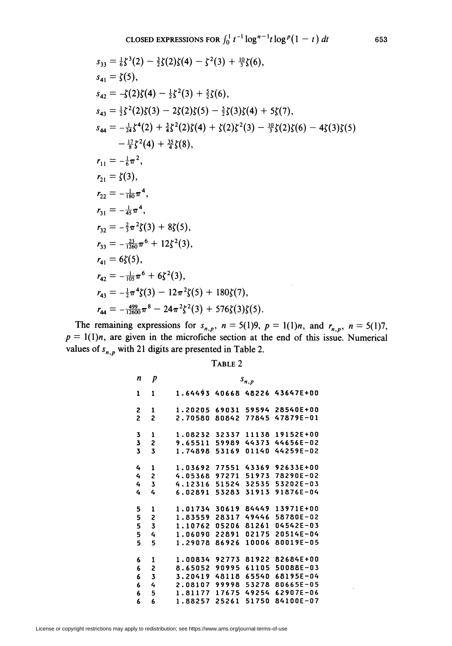$$
s_{33} = \frac{1}{6}\zeta^{3}(2) - \frac{3}{2}\zeta(2)\zeta(4) - \zeta^{2}(3) + \frac{10}{3}\zeta(6),
$$
  
\n
$$
s_{41} = \zeta(5),
$$
  
\n
$$
s_{42} = -\zeta(2)\zeta(4) - \frac{1}{2}\zeta^{2}(3) + \frac{5}{2}\zeta(6),
$$
  
\n
$$
s_{43} = \frac{1}{2}\zeta^{2}(2)\zeta(3) - 2\zeta(2)\zeta(5) - \frac{5}{2}\zeta(3)\zeta(4) + 5\zeta(7),
$$
  
\n
$$
s_{44} = -\frac{1}{24}\zeta^{4}(2) + \frac{3}{4}\zeta^{2}(2)\zeta(4) + \zeta(2)\zeta^{2}(3) - \frac{10}{3}\zeta(2)\zeta(6) - 4\zeta(3)\zeta(5)
$$
  
\n
$$
- \frac{17}{8}\zeta^{2}(4) + \frac{35}{4}\zeta(8),
$$
  
\n
$$
r_{11} = -\frac{1}{6}\pi^{2},
$$
  
\n
$$
r_{21} = \zeta(3),
$$
  
\n
$$
r_{22} = -\frac{1}{180}\pi^{4},
$$
  
\n
$$
r_{31} = -\frac{12}{45}\pi^{4},
$$
  
\n
$$
r_{32} = -\frac{22}{3}\pi^{2}\zeta(3) + 8\zeta(5),
$$
  
\n
$$
r_{41} = 6\zeta(5),
$$
  
\n
$$
r_{42} = -\frac{1}{105}\pi^{6} + 6\zeta^{2}(3),
$$
  
\n
$$
r_{43} = -\frac{1}{2}\pi^{4}\zeta(3) - 12\pi^{2}\zeta(5) + 180\zeta(7),
$$
  
\n
$$
r_{44} = -\frac{499}{12600}\pi^{8} - 24\pi^{2}\zeta^{2}(3) + 576\zeta(3)\zeta(5).
$$

The remaining expressions for  $s_{n,p}$ ,  $n = 5(1)9$ ,  $p = 1(1)n$ , and  $r_{n,p}$ ,  $n = 5(1)7$ ,  $p = 1(1)n$ , are given in the microfiche section at the end of this issue. Numerical values of  $s_{n,p}$  with 21 digits are presented in Table 2.

Table 2

| n                          | p                          | $\boldsymbol{s}_{n,p}$                                                                                                                                                                                                                                   |  |  |  |  |  |
|----------------------------|----------------------------|----------------------------------------------------------------------------------------------------------------------------------------------------------------------------------------------------------------------------------------------------------|--|--|--|--|--|
| 1                          | 1                          | 1.64493<br>43647E+00<br>40668<br>48226                                                                                                                                                                                                                   |  |  |  |  |  |
| S<br>$\overline{c}$        | 1<br>$\overline{c}$        | 28540E+00<br>1.20205<br>69031<br>59594<br>47879E-01<br>2.70580<br>80842<br>77845                                                                                                                                                                         |  |  |  |  |  |
| 3<br>3<br>3                | 1<br>2<br>3                | 1.08232<br>32337<br>11138<br>19152E+00<br>9.65511<br>44373<br>44656E-02<br>59989<br>53169<br>01140<br>44259E-02<br>1.74898                                                                                                                               |  |  |  |  |  |
| 4<br>4<br>4<br>4           | 1<br>2<br>3<br>4           | 77551<br>92633E+00<br>1.03692<br>43369<br>4.05368<br>97271<br>51973<br>78290E-02<br>4.12316<br>51524<br>32535<br>53202E-03<br>91876E-04<br>6.02891<br>53283<br>31913                                                                                     |  |  |  |  |  |
| 5<br>5<br>5<br>5<br>5      | 1<br>2<br>3<br>4<br>5      | 30619<br>84449<br>13971E+00<br>1.01734<br>49446<br>58780E-02<br>1.83559<br>28317<br>81261<br>05206<br>04542E-03<br>1.10762<br>02175<br>20514E-04<br>22891<br>1.06090<br>80019E-05<br>86926<br>10006<br>1.29078                                           |  |  |  |  |  |
| 6<br>6<br>6<br>6<br>6<br>6 | ı<br>2<br>3<br>4<br>5<br>6 | 81922<br>92773<br>82684E+00<br>1.00834<br>61105<br>50088E-03<br>8.65052<br>90995<br>65540<br>68195E-04<br>3.20419<br>48118<br>80665E-05<br>2.08107<br>99998<br>53278<br>1.81177<br>62907E-06<br>17675<br>49254<br>51750<br>84100E-07<br>1.88257<br>25261 |  |  |  |  |  |